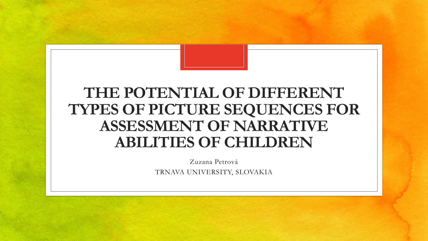#### **THE POTENTIAL OF DIFFERENT TYPES OF PICTURE SEQUENCES FOR ASSESSMENT OF NARRATIVE ABILITIES OF CHILDREN**

Zuzana Petrová TRNAVA UNIVERSITY, SLOVAKIA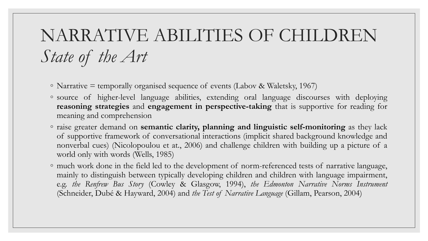## NARRATIVE ABILITIES OF CHILDREN *State of the Art*

- Narrative = temporally organised sequence of events (Labov & Waletsky, 1967)
- source of higher-level language abilities, extending oral language discourses with deploying **reasoning strategies** and **engagement in perspective-taking** that is supportive for reading for meaning and comprehension
- raise greater demand on **semantic clarity, planning and linguistic self-monitoring** as they lack of supportive framework of conversational interactions (implicit shared background knowledge and nonverbal cues) (Nicolopoulou et at., 2006) and challenge children with building up a picture of a world only with words (Wells, 1985)
- much work done in the field led to the development of norm-referenced tests of narrative language, mainly to distinguish between typically developing children and children with language impairment, e.g. *the Renfrew Bus Story* (Cowley & Glasgow, 1994), *the Edmonton Narrative Norms Instrument* (Schneider, Dubé & Hayward, 2004) and *the Test of Narrative Language* (Gillam, Pearson, 2004)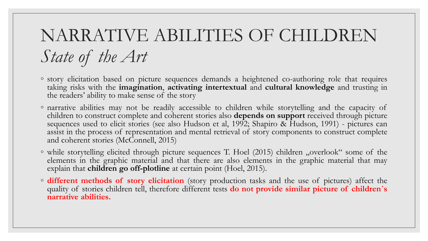## NARRATIVE ABILITIES OF CHILDREN *State of the Art*

- story elicitation based on picture sequences demands a heightened co-authoring role that requires taking risks with the **imagination**, **activating intertextual** and **cultural knowledge** and trusting in the readers' ability to make sense of the story
- narrative abilities may not be readily accessible to children while storytelling and the capacity of children to construct complete and coherent stories also **depends on support** received through picture sequences used to elicit stories (see also Hudson et al, 1992; Shapiro & Hudson, 1991) - pictures can assist in the process of representation and mental retrieval of story components to construct complete and coherent stories (McConnell, 2015)
- while storytelling elicited through picture sequences T. Hoel (2015) children "overlook" some of the elements in the graphic material and that there are also elements in the graphic material that may explain that **children go off-plotline** at certain point (Hoel, 2015).
- **different methods of story elicitation** (story production tasks and the use of pictures) affect the quality of stories children tell, therefore different tests **do not provide similar picture of children´s narrative abilities.**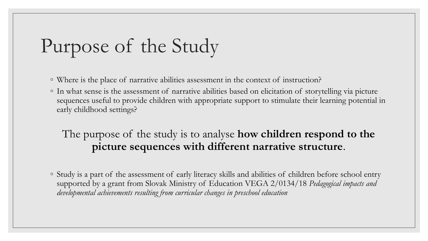# Purpose of the Study

◦ Where is the place of narrative abilities assessment in the context of instruction?

◦ In what sense is the assessment of narrative abilities based on elicitation of storytelling via picture sequences useful to provide children with appropriate support to stimulate their learning potential in early childhood settings?

#### The purpose of the study is to analyse **how children respond to the picture sequences with different narrative structure**.

◦ Study is a part of the assessment of early literacy skills and abilities of children before school entry supported by a grant from Slovak Ministry of Education VEGA 2/0134/18 *Pedagogical impacts and developmental achievements resulting from curricular changes in preschool education*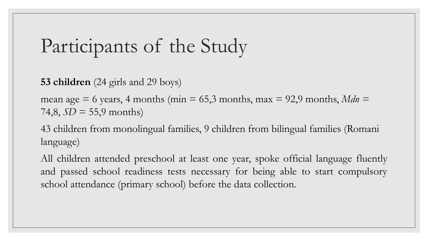# Participants of the Study

**53 children** (24 girls and 29 boys)

mean age  $= 6$  years, 4 months (min  $= 65.3$  months, max  $= 92.9$  months, *Mdn*  $=$ 74,8,  $SD = 55,9$  months)

43 children from monolingual families, 9 children from bilingual families (Romani language)

All children attended preschool at least one year, spoke official language fluently and passed school readiness tests necessary for being able to start compulsory school attendance (primary school) before the data collection.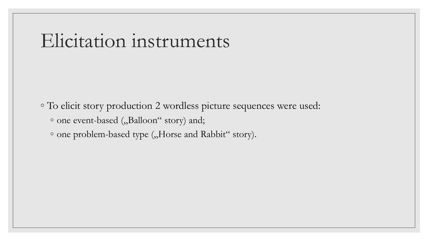#### Elicitation instruments

◦ To elicit story production 2 wordless picture sequences were used: ◦ one event-based ("Balloon" story) and;

◦ one problem-based type ("Horse and Rabbit" story).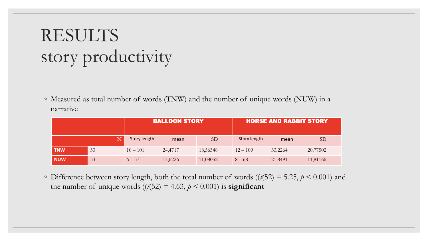## RESULTS story productivity

◦ Measured as total number of words (TNW) and the number of unique words (NUW) in a narrative

|            |    | <b>BALLOON STORY</b> |         |                 | <b>HORSE AND RABBIT STORY</b> |         |                 |
|------------|----|----------------------|---------|-----------------|-------------------------------|---------|-----------------|
|            |    | Story length         | mean    | SD <sub>1</sub> | Story length                  | mean    | SD <sub>1</sub> |
| <b>TNW</b> | 53 | $10 - 101$           | 24,4717 | 18,56548        | $12 - 109$                    | 33,2264 | 20,77502        |
| NUW        | 53 | $6 - 57$             | 17,6226 | 11,08052        | $8 - 68$                      | 21,8491 | 11,81166        |

 $\circ$  Difference between story length, both the total number of words ( $(t(52) = 5.25, p \le 0.001)$  and the number of unique words  $((t(52) = 4.63, p < 0.001)$  is **significant**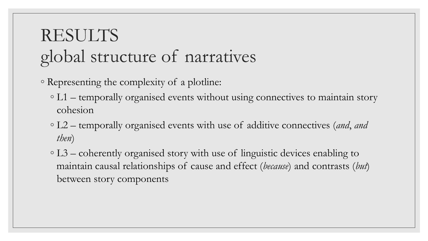## RESULTS global structure of narratives

- Representing the complexity of a plotline:
	- L1 temporally organised events without using connectives to maintain story cohesion
	- L2 temporally organised events with use of additive connectives (*and*, *and then*)
	- L3 coherently organised story with use of linguistic devices enabling to maintain causal relationships of cause and effect (*because*) and contrasts (*but*) between story components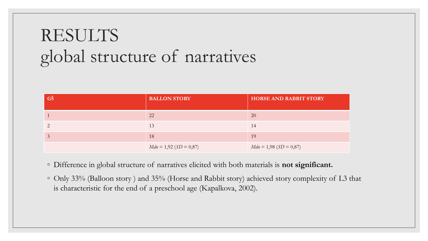#### RESULTS global structure of narratives

| GŠ | <b>BALLON STORY</b>      | <b>HORSE AND RABBIT STORY</b> |
|----|--------------------------|-------------------------------|
|    | 22                       | 20                            |
|    | 13                       | 14                            |
|    | 18                       | 19                            |
|    | $Mdn = 1,92 (SD = 0,87)$ | $Mdn = 1,98 (SD = 0,87)$      |

- Difference in global structure of narratives elicited with both materials is **not significant.**
- Only 33% (Balloon story ) and 35% (Horse and Rabbit story) achieved story complexity of L3 that is characteristic for the end of a preschool age (Kapalkova, 2002).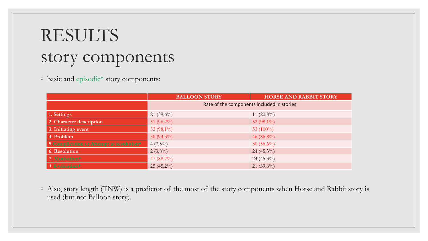#### RESULTS story components

◦ basic and episodic\* story components:

|                                           | <b>BALLOON STORY</b>                       | <b>HORSE AND RABBIT STORY</b> |  |
|-------------------------------------------|--------------------------------------------|-------------------------------|--|
|                                           | Rate of the components included in stories |                               |  |
| 1. Settings                               | 21 $(39,6\%)$                              | 11 $(20,8\%)$                 |  |
| 2. Character description                  | 51 $(96,2\%)$                              | 52 $(98,1\%)$                 |  |
| 3. Initiating event                       | 52 $(98,1\%)$                              | 53 $(100\%)$                  |  |
| 4. Problem                                | 50 $(94,3\%)$                              | 46 $(86,8\%)$                 |  |
| 5. Complication or Attempt at resolution* | $4(7,5\%)$                                 | $30(56,6\%)$                  |  |
| 6. Resolution                             | $2(3,8\%)$                                 | $24(45,3\%)$                  |  |
| 7. Motivation*                            | 47 $(88,7\%)$                              | 24 $(45,3\%)$                 |  |
| + Evaluation*                             | $25(45,2\%)$                               | 21 $(39,6\%)$                 |  |

◦ Also, story length (TNW) is a predictor of the most of the story components when Horse and Rabbit story is used (but not Balloon story).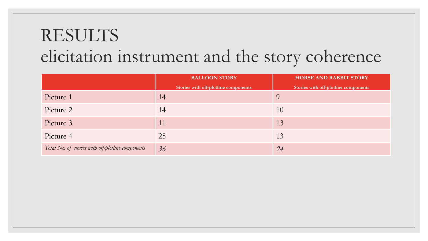|                                                   | <b>BALLOON STORY</b>                 | <b>HORSE AND RABBIT STORY</b>        |  |
|---------------------------------------------------|--------------------------------------|--------------------------------------|--|
|                                                   | Stories with off-plotline components | Stories with off-plotline components |  |
| Picture 1                                         | 14                                   |                                      |  |
| Picture 2                                         | 14                                   | 10                                   |  |
| Picture 3                                         | 11                                   | 13                                   |  |
| Picture 4                                         | 25                                   | 13                                   |  |
| Total No. of stories with off-plotline components | 36                                   | 24                                   |  |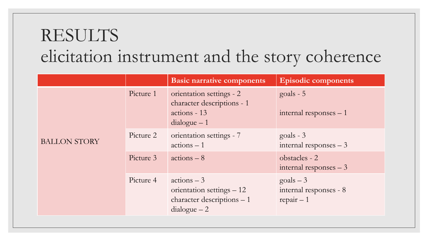|                     |           | <b>Basic narrative components</b>                                                        | <b>Episodic components</b>                                 |
|---------------------|-----------|------------------------------------------------------------------------------------------|------------------------------------------------------------|
|                     | Picture 1 | orientation settings - 2<br>character descriptions - 1<br>actions - 13<br>$dialogue-1$   | $goals - 5$<br>internal responses $-1$                     |
| <b>BALLON STORY</b> | Picture 2 | orientation settings - 7<br>$actions - 1$                                                | $goals - 3$<br>internal responses $-3$                     |
|                     | Picture 3 | $actions - 8$                                                                            | obstacles - 2<br>internal responses $-3$                   |
|                     | Picture 4 | $actions - 3$<br>orientation settings – 12<br>character descriptions - 1<br>$dialogue-2$ | $\text{goals} - 3$<br>internal responses - 8<br>$repair-1$ |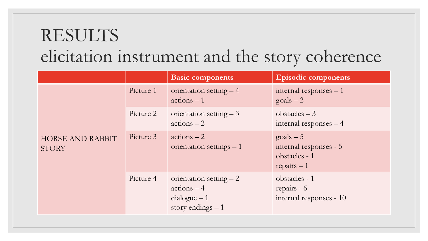|                                         |           | <b>Basic components</b>                                                           | <b>Episodic components</b>                                                     |
|-----------------------------------------|-----------|-----------------------------------------------------------------------------------|--------------------------------------------------------------------------------|
|                                         | Picture 1 | orientation setting $-4$<br>$actions - 1$                                         | internal responses $-1$<br>$\text{goals} - 2$                                  |
|                                         | Picture 2 | orientation setting $-3$<br>$\arctan s - 2$                                       | obstacles $-3$<br>internal responses - 4                                       |
| <b>HORSE AND RABBIT</b><br><b>STORY</b> | Picture 3 | $\arctan s - 2$<br>orientation settings $-1$                                      | $\text{goals} - 5$<br>internal responses - 5<br>obstacles - 1<br>$repairs - 1$ |
|                                         | Picture 4 | orientation setting $-2$<br>$\arcton s - 4$<br>$dialogue-1$<br>story endings $-1$ | obstacles - 1<br>repairs - 6<br>internal responses - 10                        |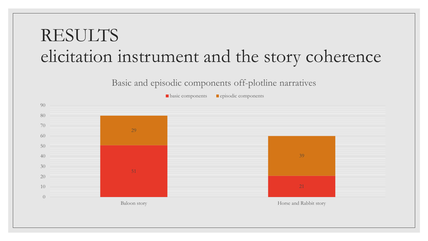Basic and episodic components off-plotline narratives

basic components episodic components

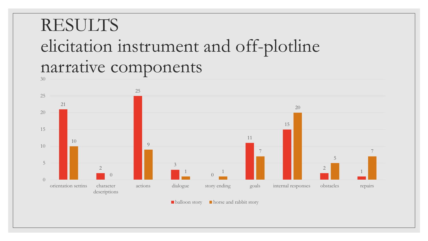#### RESULTS elicitation instrument and off-plotline narrative components



**balloon story horse and rabbit story**